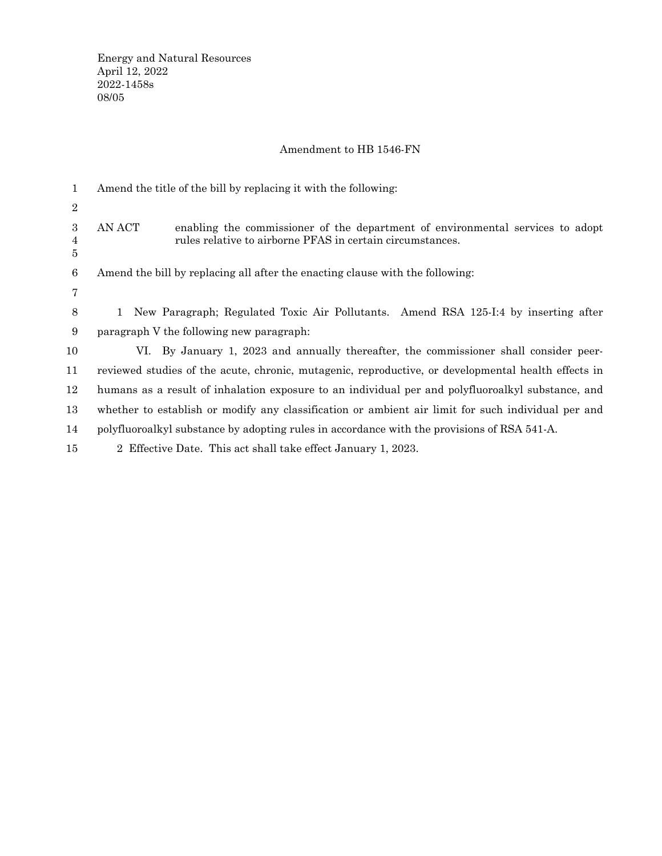## Amendment to HB 1546-FN

| $\mathbf{1}$ | Amend the title of the bill by replacing it with the following:                                                                                       |
|--------------|-------------------------------------------------------------------------------------------------------------------------------------------------------|
| $\sqrt{2}$   |                                                                                                                                                       |
| 3<br>4<br>5  | AN ACT<br>enabling the commissioner of the department of environmental services to adopt<br>rules relative to airborne PFAS in certain circumstances. |
| 6            | Amend the bill by replacing all after the enacting clause with the following:                                                                         |
| 7            |                                                                                                                                                       |
| 8            | 1 New Paragraph; Regulated Toxic Air Pollutants. Amend RSA 125-I:4 by inserting after                                                                 |
| 9            | paragraph V the following new paragraph:                                                                                                              |
| 10           | VI. By January 1, 2023 and annually thereafter, the commissioner shall consider peer-                                                                 |
| 11           | reviewed studies of the acute, chronic, mutagenic, reproductive, or developmental health effects in                                                   |
| 12           | humans as a result of inhalation exposure to an individual per and polyfluoroalkyl substance, and                                                     |
| 13           | whether to establish or modify any classification or ambient air limit for such individual per and                                                    |
| 14           | polyfluoroalkyl substance by adopting rules in accordance with the provisions of RSA 541-A.                                                           |
| 15           | 2 Effective Date. This act shall take effect January 1, 2023.                                                                                         |